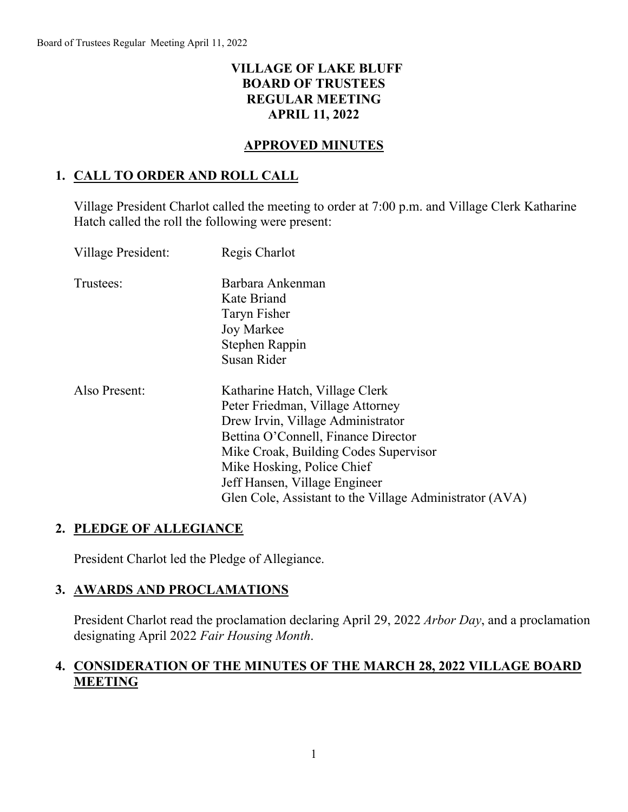# **VILLAGE OF LAKE BLUFF BOARD OF TRUSTEES REGULAR MEETING APRIL 11, 2022**

### **APPROVED MINUTES**

# **1. CALL TO ORDER AND ROLL CALL**

Village President Charlot called the meeting to order at 7:00 p.m. and Village Clerk Katharine Hatch called the roll the following were present:

| Village President: | Regis Charlot                                                                                                                                                                                                                                                                                                     |
|--------------------|-------------------------------------------------------------------------------------------------------------------------------------------------------------------------------------------------------------------------------------------------------------------------------------------------------------------|
| Trustees:          | Barbara Ankenman<br>Kate Briand<br>Taryn Fisher<br>Joy Markee<br>Stephen Rappin<br>Susan Rider                                                                                                                                                                                                                    |
| Also Present:      | Katharine Hatch, Village Clerk<br>Peter Friedman, Village Attorney<br>Drew Irvin, Village Administrator<br>Bettina O'Connell, Finance Director<br>Mike Croak, Building Codes Supervisor<br>Mike Hosking, Police Chief<br>Jeff Hansen, Village Engineer<br>Glen Cole, Assistant to the Village Administrator (AVA) |

# **2. PLEDGE OF ALLEGIANCE**

President Charlot led the Pledge of Allegiance.

### **3. AWARDS AND PROCLAMATIONS**

President Charlot read the proclamation declaring April 29, 2022 *Arbor Day*, and a proclamation designating April 2022 *Fair Housing Month*.

# **4. CONSIDERATION OF THE MINUTES OF THE MARCH 28, 2022 VILLAGE BOARD MEETING**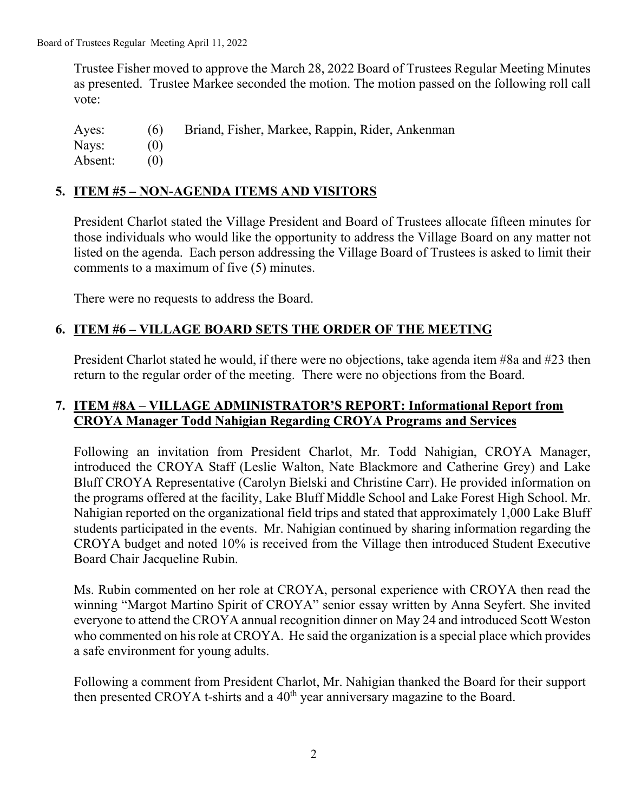Trustee Fisher moved to approve the March 28, 2022 Board of Trustees Regular Meeting Minutes as presented. Trustee Markee seconded the motion. The motion passed on the following roll call vote:

Ayes: (6) Briand, Fisher, Markee, Rappin, Rider, Ankenman Nays: (0) Absent: (0)

# **5. ITEM #5 – NON-AGENDA ITEMS AND VISITORS**

President Charlot stated the Village President and Board of Trustees allocate fifteen minutes for those individuals who would like the opportunity to address the Village Board on any matter not listed on the agenda. Each person addressing the Village Board of Trustees is asked to limit their comments to a maximum of five (5) minutes.

There were no requests to address the Board.

## **6. ITEM #6 – VILLAGE BOARD SETS THE ORDER OF THE MEETING**

President Charlot stated he would, if there were no objections, take agenda item #8a and #23 then return to the regular order of the meeting. There were no objections from the Board.

## **7. ITEM #8A – VILLAGE ADMINISTRATOR'S REPORT: Informational Report from CROYA Manager Todd Nahigian Regarding CROYA Programs and Services**

Following an invitation from President Charlot, Mr. Todd Nahigian, CROYA Manager, introduced the CROYA Staff (Leslie Walton, Nate Blackmore and Catherine Grey) and Lake Bluff CROYA Representative (Carolyn Bielski and Christine Carr). He provided information on the programs offered at the facility, Lake Bluff Middle School and Lake Forest High School. Mr. Nahigian reported on the organizational field trips and stated that approximately 1,000 Lake Bluff students participated in the events. Mr. Nahigian continued by sharing information regarding the CROYA budget and noted 10% is received from the Village then introduced Student Executive Board Chair Jacqueline Rubin.

Ms. Rubin commented on her role at CROYA, personal experience with CROYA then read the winning "Margot Martino Spirit of CROYA" senior essay written by Anna Seyfert. She invited everyone to attend the CROYA annual recognition dinner on May 24 and introduced Scott Weston who commented on his role at CROYA. He said the organization is a special place which provides a safe environment for young adults.

Following a comment from President Charlot, Mr. Nahigian thanked the Board for their support then presented CROYA t-shirts and a 40<sup>th</sup> year anniversary magazine to the Board.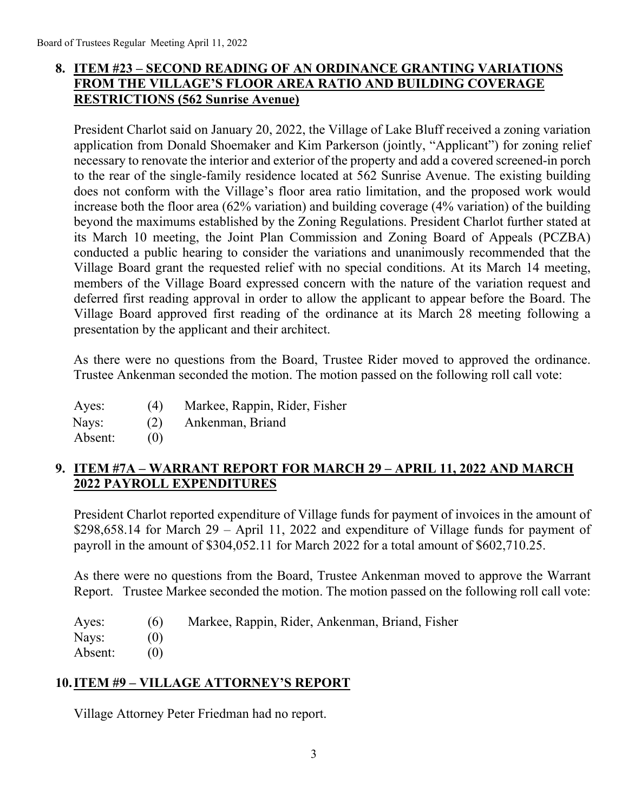# **8. ITEM #23 – SECOND READING OF AN ORDINANCE GRANTING VARIATIONS FROM THE VILLAGE'S FLOOR AREA RATIO AND BUILDING COVERAGE RESTRICTIONS (562 Sunrise Avenue)**

President Charlot said on January 20, 2022, the Village of Lake Bluff received a zoning variation application from Donald Shoemaker and Kim Parkerson (jointly, "Applicant") for zoning relief necessary to renovate the interior and exterior of the property and add a covered screened-in porch to the rear of the single-family residence located at 562 Sunrise Avenue. The existing building does not conform with the Village's floor area ratio limitation, and the proposed work would increase both the floor area (62% variation) and building coverage (4% variation) of the building beyond the maximums established by the Zoning Regulations. President Charlot further stated at its March 10 meeting, the Joint Plan Commission and Zoning Board of Appeals (PCZBA) conducted a public hearing to consider the variations and unanimously recommended that the Village Board grant the requested relief with no special conditions. At its March 14 meeting, members of the Village Board expressed concern with the nature of the variation request and deferred first reading approval in order to allow the applicant to appear before the Board. The Village Board approved first reading of the ordinance at its March 28 meeting following a presentation by the applicant and their architect.

As there were no questions from the Board, Trustee Rider moved to approved the ordinance. Trustee Ankenman seconded the motion. The motion passed on the following roll call vote:

| Ayes: | (4) | Markee, Rappin, Rider, Fisher |
|-------|-----|-------------------------------|
| Nays: | (2) | Ankenman, Briand              |

Absent: (0)

# **9. ITEM #7A – WARRANT REPORT FOR MARCH 29 – APRIL 11, 2022 AND MARCH 2022 PAYROLL EXPENDITURES**

President Charlot reported expenditure of Village funds for payment of invoices in the amount of \$298,658.14 for March 29 – April 11, 2022 and expenditure of Village funds for payment of payroll in the amount of \$304,052.11 for March 2022 for a total amount of \$602,710.25.

As there were no questions from the Board, Trustee Ankenman moved to approve the Warrant Report. Trustee Markee seconded the motion. The motion passed on the following roll call vote:

| Ayes:   | (6) Markee, Rappin, Rider, Ankenman, Briand, Fisher |
|---------|-----------------------------------------------------|
| Nays:   |                                                     |
| Absent: |                                                     |

# **10.ITEM #9 – VILLAGE ATTORNEY'S REPORT**

Village Attorney Peter Friedman had no report.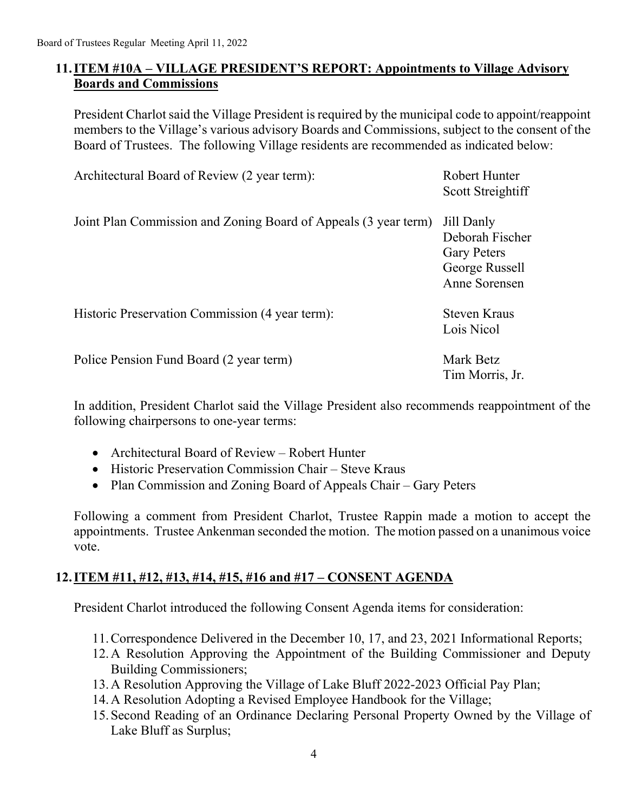## **11.ITEM #10A – VILLAGE PRESIDENT'S REPORT: Appointments to Village Advisory Boards and Commissions**

President Charlot said the Village President is required by the municipal code to appoint/reappoint members to the Village's various advisory Boards and Commissions, subject to the consent of the Board of Trustees. The following Village residents are recommended as indicated below:

| Architectural Board of Review (2 year term):                    | Robert Hunter<br>Scott Streightiff                                                     |
|-----------------------------------------------------------------|----------------------------------------------------------------------------------------|
| Joint Plan Commission and Zoning Board of Appeals (3 year term) | Jill Danly<br>Deborah Fischer<br><b>Gary Peters</b><br>George Russell<br>Anne Sorensen |
| Historic Preservation Commission (4 year term):                 | <b>Steven Kraus</b><br>Lois Nicol                                                      |
| Police Pension Fund Board (2 year term)                         | Mark Betz                                                                              |

 $(2 \text{ year } \text{term})$ 

In addition, President Charlot said the Village President also recommends reappointment of the following chairpersons to one-year terms:

Tim Morris, Jr.

- Architectural Board of Review Robert Hunter
- Historic Preservation Commission Chair Steve Kraus
- Plan Commission and Zoning Board of Appeals Chair Gary Peters

Following a comment from President Charlot, Trustee Rappin made a motion to accept the appointments. Trustee Ankenman seconded the motion. The motion passed on a unanimous voice vote.

# **12.ITEM #11, #12, #13, #14, #15, #16 and #17 – CONSENT AGENDA**

President Charlot introduced the following Consent Agenda items for consideration:

- 11.Correspondence Delivered in the December 10, 17, and 23, 2021 Informational Reports;
- 12.A Resolution Approving the Appointment of the Building Commissioner and Deputy Building Commissioners;
- 13.A Resolution Approving the Village of Lake Bluff 2022-2023 Official Pay Plan;
- 14.A Resolution Adopting a Revised Employee Handbook for the Village;
- 15.Second Reading of an Ordinance Declaring Personal Property Owned by the Village of Lake Bluff as Surplus;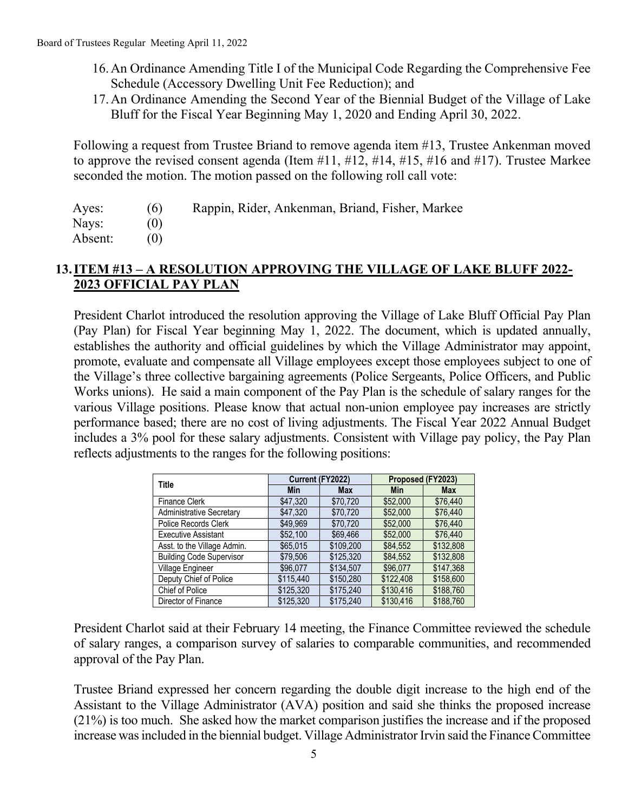- 16.An Ordinance Amending Title I of the Municipal Code Regarding the Comprehensive Fee Schedule (Accessory Dwelling Unit Fee Reduction); and
- 17.An Ordinance Amending the Second Year of the Biennial Budget of the Village of Lake Bluff for the Fiscal Year Beginning May 1, 2020 and Ending April 30, 2022.

Following a request from Trustee Briand to remove agenda item #13, Trustee Ankenman moved to approve the revised consent agenda (Item #11, #12, #14, #15, #16 and #17). Trustee Markee seconded the motion. The motion passed on the following roll call vote:

Ayes: (6) Rappin, Rider, Ankenman, Briand, Fisher, Markee

Nays: (0)

Absent: (0)

## **13.ITEM #13 – A RESOLUTION APPROVING THE VILLAGE OF LAKE BLUFF 2022- 2023 OFFICIAL PAY PLAN**

President Charlot introduced the resolution approving the Village of Lake Bluff Official Pay Plan (Pay Plan) for Fiscal Year beginning May 1, 2022. The document, which is updated annually, establishes the authority and official guidelines by which the Village Administrator may appoint, promote, evaluate and compensate all Village employees except those employees subject to one of the Village's three collective bargaining agreements (Police Sergeants, Police Officers, and Public Works unions). He said a main component of the Pay Plan is the schedule of salary ranges for the various Village positions. Please know that actual non-union employee pay increases are strictly performance based; there are no cost of living adjustments. The Fiscal Year 2022 Annual Budget includes a 3% pool for these salary adjustments. Consistent with Village pay policy, the Pay Plan reflects adjustments to the ranges for the following positions:

| Title                           | Current (FY2022) |            | Proposed (FY2023) |            |
|---------------------------------|------------------|------------|-------------------|------------|
|                                 | Min              | <b>Max</b> | <b>Min</b>        | <b>Max</b> |
| <b>Finance Clerk</b>            | \$47,320         | \$70.720   | \$52,000          | \$76,440   |
| Administrative Secretary        | \$47.320         | \$70.720   | \$52,000          | \$76,440   |
| Police Records Clerk            | \$49.969         | \$70.720   | \$52,000          | \$76,440   |
| <b>Executive Assistant</b>      | \$52,100         | \$69.466   | \$52,000          | \$76,440   |
| Asst. to the Village Admin.     | \$65,015         | \$109.200  | \$84.552          | \$132,808  |
| <b>Building Code Supervisor</b> | \$79,506         | \$125.320  | \$84.552          | \$132,808  |
| Village Engineer                | \$96,077         | \$134,507  | \$96,077          | \$147,368  |
| Deputy Chief of Police          | \$115.440        | \$150.280  | \$122,408         | \$158,600  |
| Chief of Police                 | \$125,320        | \$175,240  | \$130.416         | \$188,760  |
| Director of Finance             | \$125.320        | \$175.240  | \$130.416         | \$188.760  |

President Charlot said at their February 14 meeting, the Finance Committee reviewed the schedule of salary ranges, a comparison survey of salaries to comparable communities, and recommended approval of the Pay Plan.

Trustee Briand expressed her concern regarding the double digit increase to the high end of the Assistant to the Village Administrator (AVA) position and said she thinks the proposed increase (21%) is too much. She asked how the market comparison justifies the increase and if the proposed increase was included in the biennial budget. Village Administrator Irvin said the Finance Committee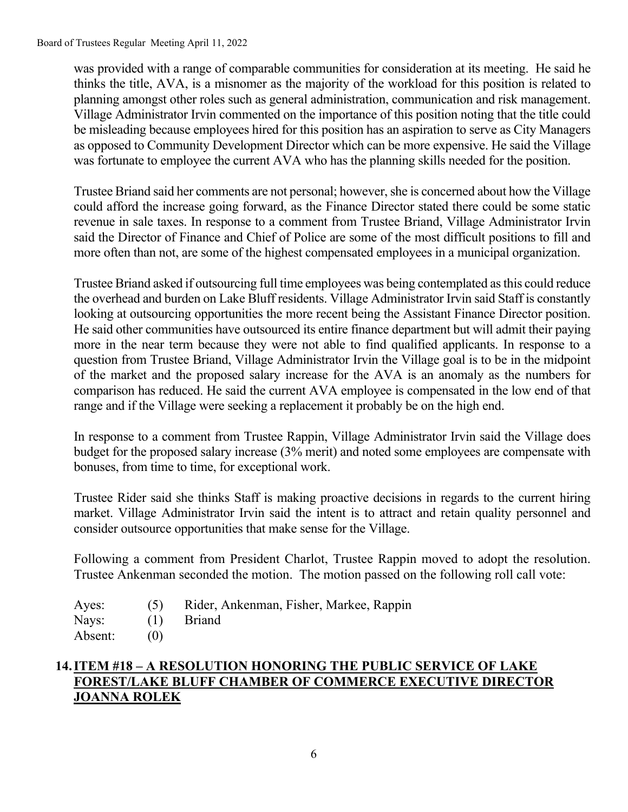Board of Trustees Regular Meeting April 11, 2022

was provided with a range of comparable communities for consideration at its meeting. He said he thinks the title, AVA, is a misnomer as the majority of the workload for this position is related to planning amongst other roles such as general administration, communication and risk management. Village Administrator Irvin commented on the importance of this position noting that the title could be misleading because employees hired for this position has an aspiration to serve as City Managers as opposed to Community Development Director which can be more expensive. He said the Village was fortunate to employee the current AVA who has the planning skills needed for the position.

Trustee Briand said her comments are not personal; however, she is concerned about how the Village could afford the increase going forward, as the Finance Director stated there could be some static revenue in sale taxes. In response to a comment from Trustee Briand, Village Administrator Irvin said the Director of Finance and Chief of Police are some of the most difficult positions to fill and more often than not, are some of the highest compensated employees in a municipal organization.

Trustee Briand asked if outsourcing full time employees was being contemplated as this could reduce the overhead and burden on Lake Bluff residents. Village Administrator Irvin said Staff is constantly looking at outsourcing opportunities the more recent being the Assistant Finance Director position. He said other communities have outsourced its entire finance department but will admit their paying more in the near term because they were not able to find qualified applicants. In response to a question from Trustee Briand, Village Administrator Irvin the Village goal is to be in the midpoint of the market and the proposed salary increase for the AVA is an anomaly as the numbers for comparison has reduced. He said the current AVA employee is compensated in the low end of that range and if the Village were seeking a replacement it probably be on the high end.

In response to a comment from Trustee Rappin, Village Administrator Irvin said the Village does budget for the proposed salary increase (3% merit) and noted some employees are compensate with bonuses, from time to time, for exceptional work.

Trustee Rider said she thinks Staff is making proactive decisions in regards to the current hiring market. Village Administrator Irvin said the intent is to attract and retain quality personnel and consider outsource opportunities that make sense for the Village.

Following a comment from President Charlot, Trustee Rappin moved to adopt the resolution. Trustee Ankenman seconded the motion. The motion passed on the following roll call vote:

- Ayes: (5) Rider, Ankenman, Fisher, Markee, Rappin
- Nays: (1) Briand
- Absent: (0)

# **14.ITEM #18 – A RESOLUTION HONORING THE PUBLIC SERVICE OF LAKE FOREST/LAKE BLUFF CHAMBER OF COMMERCE EXECUTIVE DIRECTOR JOANNA ROLEK**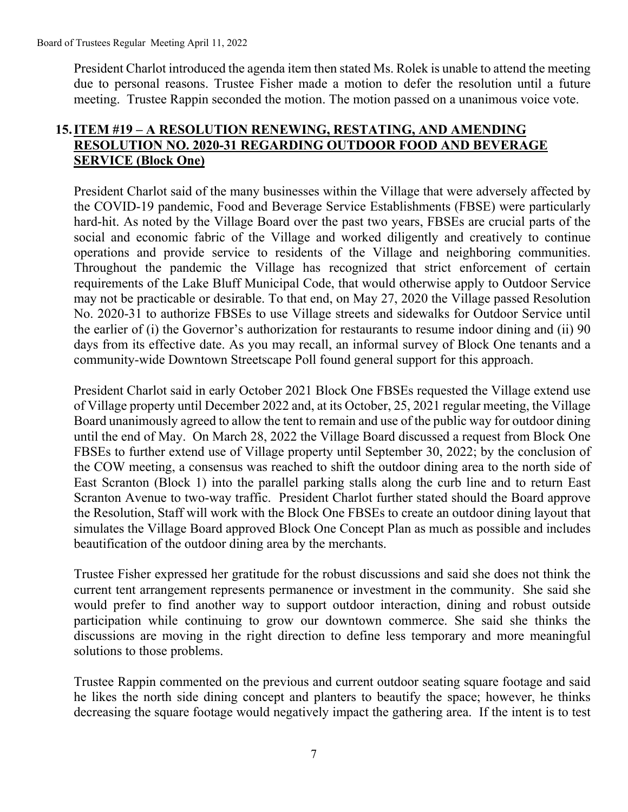President Charlot introduced the agenda item then stated Ms. Rolek is unable to attend the meeting due to personal reasons. Trustee Fisher made a motion to defer the resolution until a future meeting. Trustee Rappin seconded the motion. The motion passed on a unanimous voice vote.

## **15.ITEM #19 – A RESOLUTION RENEWING, RESTATING, AND AMENDING RESOLUTION NO. 2020-31 REGARDING OUTDOOR FOOD AND BEVERAGE SERVICE (Block One)**

President Charlot said of the many businesses within the Village that were adversely affected by the COVID-19 pandemic, Food and Beverage Service Establishments (FBSE) were particularly hard-hit. As noted by the Village Board over the past two years, FBSEs are crucial parts of the social and economic fabric of the Village and worked diligently and creatively to continue operations and provide service to residents of the Village and neighboring communities. Throughout the pandemic the Village has recognized that strict enforcement of certain requirements of the Lake Bluff Municipal Code, that would otherwise apply to Outdoor Service may not be practicable or desirable. To that end, on May 27, 2020 the Village passed Resolution No. 2020-31 to authorize FBSEs to use Village streets and sidewalks for Outdoor Service until the earlier of (i) the Governor's authorization for restaurants to resume indoor dining and (ii) 90 days from its effective date. As you may recall, an informal survey of Block One tenants and a community-wide Downtown Streetscape Poll found general support for this approach.

President Charlot said in early October 2021 Block One FBSEs requested the Village extend use of Village property until December 2022 and, at its October, 25, 2021 regular meeting, the Village Board unanimously agreed to allow the tent to remain and use of the public way for outdoor dining until the end of May. On March 28, 2022 the Village Board discussed a request from Block One FBSEs to further extend use of Village property until September 30, 2022; by the conclusion of the COW meeting, a consensus was reached to shift the outdoor dining area to the north side of East Scranton (Block 1) into the parallel parking stalls along the curb line and to return East Scranton Avenue to two-way traffic. President Charlot further stated should the Board approve the Resolution, Staff will work with the Block One FBSEs to create an outdoor dining layout that simulates the Village Board approved Block One Concept Plan as much as possible and includes beautification of the outdoor dining area by the merchants.

Trustee Fisher expressed her gratitude for the robust discussions and said she does not think the current tent arrangement represents permanence or investment in the community. She said she would prefer to find another way to support outdoor interaction, dining and robust outside participation while continuing to grow our downtown commerce. She said she thinks the discussions are moving in the right direction to define less temporary and more meaningful solutions to those problems.

Trustee Rappin commented on the previous and current outdoor seating square footage and said he likes the north side dining concept and planters to beautify the space; however, he thinks decreasing the square footage would negatively impact the gathering area. If the intent is to test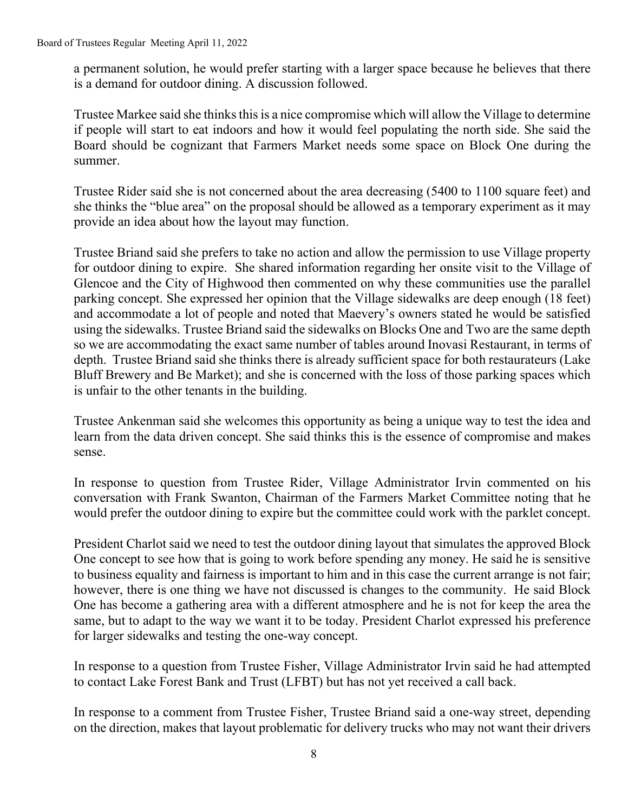a permanent solution, he would prefer starting with a larger space because he believes that there is a demand for outdoor dining. A discussion followed.

Trustee Markee said she thinks this is a nice compromise which will allow the Village to determine if people will start to eat indoors and how it would feel populating the north side. She said the Board should be cognizant that Farmers Market needs some space on Block One during the summer.

Trustee Rider said she is not concerned about the area decreasing (5400 to 1100 square feet) and she thinks the "blue area" on the proposal should be allowed as a temporary experiment as it may provide an idea about how the layout may function.

Trustee Briand said she prefers to take no action and allow the permission to use Village property for outdoor dining to expire. She shared information regarding her onsite visit to the Village of Glencoe and the City of Highwood then commented on why these communities use the parallel parking concept. She expressed her opinion that the Village sidewalks are deep enough (18 feet) and accommodate a lot of people and noted that Maevery's owners stated he would be satisfied using the sidewalks. Trustee Briand said the sidewalks on Blocks One and Two are the same depth so we are accommodating the exact same number of tables around Inovasi Restaurant, in terms of depth. Trustee Briand said she thinks there is already sufficient space for both restaurateurs (Lake Bluff Brewery and Be Market); and she is concerned with the loss of those parking spaces which is unfair to the other tenants in the building.

Trustee Ankenman said she welcomes this opportunity as being a unique way to test the idea and learn from the data driven concept. She said thinks this is the essence of compromise and makes sense.

In response to question from Trustee Rider, Village Administrator Irvin commented on his conversation with Frank Swanton, Chairman of the Farmers Market Committee noting that he would prefer the outdoor dining to expire but the committee could work with the parklet concept.

President Charlot said we need to test the outdoor dining layout that simulates the approved Block One concept to see how that is going to work before spending any money. He said he is sensitive to business equality and fairness is important to him and in this case the current arrange is not fair; however, there is one thing we have not discussed is changes to the community. He said Block One has become a gathering area with a different atmosphere and he is not for keep the area the same, but to adapt to the way we want it to be today. President Charlot expressed his preference for larger sidewalks and testing the one-way concept.

In response to a question from Trustee Fisher, Village Administrator Irvin said he had attempted to contact Lake Forest Bank and Trust (LFBT) but has not yet received a call back.

In response to a comment from Trustee Fisher, Trustee Briand said a one-way street, depending on the direction, makes that layout problematic for delivery trucks who may not want their drivers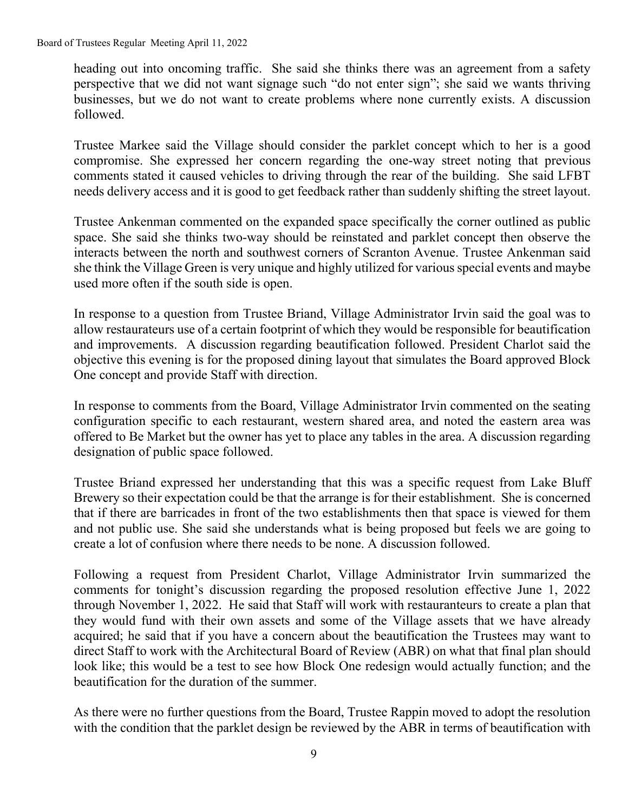heading out into oncoming traffic. She said she thinks there was an agreement from a safety perspective that we did not want signage such "do not enter sign"; she said we wants thriving businesses, but we do not want to create problems where none currently exists. A discussion followed.

Trustee Markee said the Village should consider the parklet concept which to her is a good compromise. She expressed her concern regarding the one-way street noting that previous comments stated it caused vehicles to driving through the rear of the building. She said LFBT needs delivery access and it is good to get feedback rather than suddenly shifting the street layout.

Trustee Ankenman commented on the expanded space specifically the corner outlined as public space. She said she thinks two-way should be reinstated and parklet concept then observe the interacts between the north and southwest corners of Scranton Avenue. Trustee Ankenman said she think the Village Green is very unique and highly utilized for various special events and maybe used more often if the south side is open.

In response to a question from Trustee Briand, Village Administrator Irvin said the goal was to allow restaurateurs use of a certain footprint of which they would be responsible for beautification and improvements. A discussion regarding beautification followed. President Charlot said the objective this evening is for the proposed dining layout that simulates the Board approved Block One concept and provide Staff with direction.

In response to comments from the Board, Village Administrator Irvin commented on the seating configuration specific to each restaurant, western shared area, and noted the eastern area was offered to Be Market but the owner has yet to place any tables in the area. A discussion regarding designation of public space followed.

Trustee Briand expressed her understanding that this was a specific request from Lake Bluff Brewery so their expectation could be that the arrange is for their establishment. She is concerned that if there are barricades in front of the two establishments then that space is viewed for them and not public use. She said she understands what is being proposed but feels we are going to create a lot of confusion where there needs to be none. A discussion followed.

Following a request from President Charlot, Village Administrator Irvin summarized the comments for tonight's discussion regarding the proposed resolution effective June 1, 2022 through November 1, 2022. He said that Staff will work with restauranteurs to create a plan that they would fund with their own assets and some of the Village assets that we have already acquired; he said that if you have a concern about the beautification the Trustees may want to direct Staff to work with the Architectural Board of Review (ABR) on what that final plan should look like; this would be a test to see how Block One redesign would actually function; and the beautification for the duration of the summer.

As there were no further questions from the Board, Trustee Rappin moved to adopt the resolution with the condition that the parklet design be reviewed by the ABR in terms of beautification with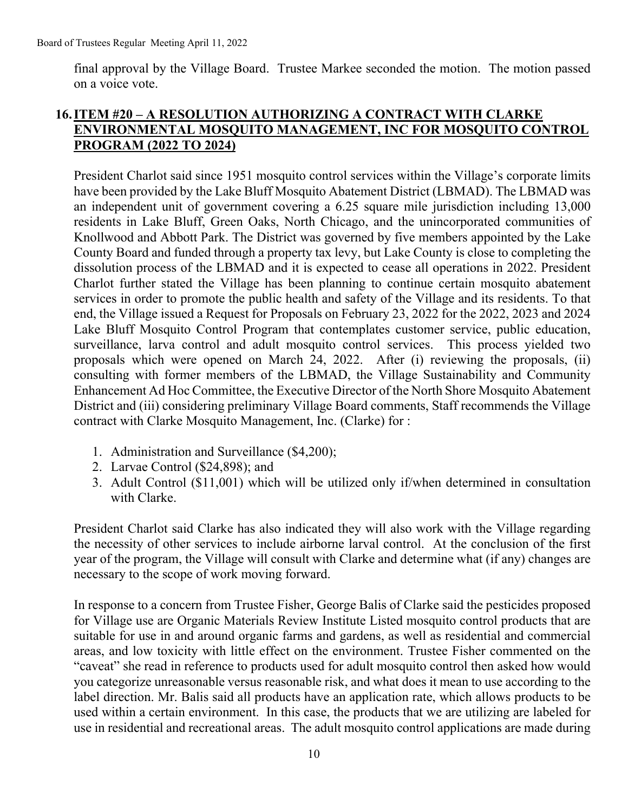final approval by the Village Board. Trustee Markee seconded the motion. The motion passed on a voice vote.

### **16.ITEM #20 – A RESOLUTION AUTHORIZING A CONTRACT WITH CLARKE ENVIRONMENTAL MOSQUITO MANAGEMENT, INC FOR MOSQUITO CONTROL PROGRAM (2022 TO 2024)**

President Charlot said since 1951 mosquito control services within the Village's corporate limits have been provided by the Lake Bluff Mosquito Abatement District (LBMAD). The LBMAD was an independent unit of government covering a 6.25 square mile jurisdiction including 13,000 residents in Lake Bluff, Green Oaks, North Chicago, and the unincorporated communities of Knollwood and Abbott Park. The District was governed by five members appointed by the Lake County Board and funded through a property tax levy, but Lake County is close to completing the dissolution process of the LBMAD and it is expected to cease all operations in 2022. President Charlot further stated the Village has been planning to continue certain mosquito abatement services in order to promote the public health and safety of the Village and its residents. To that end, the Village issued a Request for Proposals on February 23, 2022 for the 2022, 2023 and 2024 Lake Bluff Mosquito Control Program that contemplates customer service, public education, surveillance, larva control and adult mosquito control services. This process yielded two proposals which were opened on March 24, 2022. After (i) reviewing the proposals, (ii) consulting with former members of the LBMAD, the Village Sustainability and Community Enhancement Ad Hoc Committee, the Executive Director of the North Shore Mosquito Abatement District and (iii) considering preliminary Village Board comments, Staff recommends the Village contract with Clarke Mosquito Management, Inc. (Clarke) for :

- 1. Administration and Surveillance (\$4,200);
- 2. Larvae Control (\$24,898); and
- 3. Adult Control (\$11,001) which will be utilized only if/when determined in consultation with Clarke.

President Charlot said Clarke has also indicated they will also work with the Village regarding the necessity of other services to include airborne larval control. At the conclusion of the first year of the program, the Village will consult with Clarke and determine what (if any) changes are necessary to the scope of work moving forward.

In response to a concern from Trustee Fisher, George Balis of Clarke said the pesticides proposed for Village use are Organic Materials Review Institute Listed mosquito control products that are suitable for use in and around organic farms and gardens, as well as residential and commercial areas, and low toxicity with little effect on the environment. Trustee Fisher commented on the "caveat" she read in reference to products used for adult mosquito control then asked how would you categorize unreasonable versus reasonable risk, and what does it mean to use according to the label direction. Mr. Balis said all products have an application rate, which allows products to be used within a certain environment. In this case, the products that we are utilizing are labeled for use in residential and recreational areas. The adult mosquito control applications are made during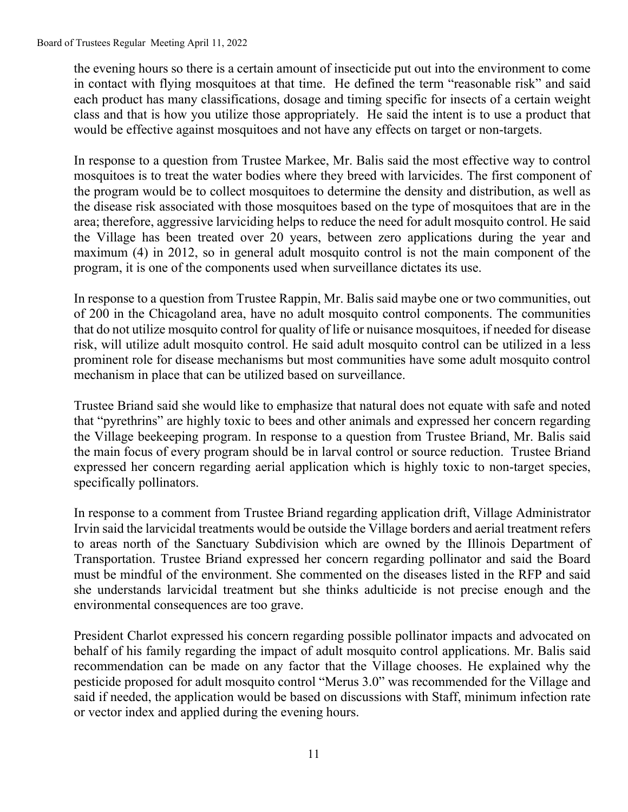the evening hours so there is a certain amount of insecticide put out into the environment to come in contact with flying mosquitoes at that time. He defined the term "reasonable risk" and said each product has many classifications, dosage and timing specific for insects of a certain weight class and that is how you utilize those appropriately. He said the intent is to use a product that would be effective against mosquitoes and not have any effects on target or non-targets.

In response to a question from Trustee Markee, Mr. Balis said the most effective way to control mosquitoes is to treat the water bodies where they breed with larvicides. The first component of the program would be to collect mosquitoes to determine the density and distribution, as well as the disease risk associated with those mosquitoes based on the type of mosquitoes that are in the area; therefore, aggressive larviciding helps to reduce the need for adult mosquito control. He said the Village has been treated over 20 years, between zero applications during the year and maximum (4) in 2012, so in general adult mosquito control is not the main component of the program, it is one of the components used when surveillance dictates its use.

In response to a question from Trustee Rappin, Mr. Balis said maybe one or two communities, out of 200 in the Chicagoland area, have no adult mosquito control components. The communities that do not utilize mosquito control for quality of life or nuisance mosquitoes, if needed for disease risk, will utilize adult mosquito control. He said adult mosquito control can be utilized in a less prominent role for disease mechanisms but most communities have some adult mosquito control mechanism in place that can be utilized based on surveillance.

Trustee Briand said she would like to emphasize that natural does not equate with safe and noted that "pyrethrins" are highly toxic to bees and other animals and expressed her concern regarding the Village beekeeping program. In response to a question from Trustee Briand, Mr. Balis said the main focus of every program should be in larval control or source reduction. Trustee Briand expressed her concern regarding aerial application which is highly toxic to non-target species, specifically pollinators.

In response to a comment from Trustee Briand regarding application drift, Village Administrator Irvin said the larvicidal treatments would be outside the Village borders and aerial treatment refers to areas north of the Sanctuary Subdivision which are owned by the Illinois Department of Transportation. Trustee Briand expressed her concern regarding pollinator and said the Board must be mindful of the environment. She commented on the diseases listed in the RFP and said she understands larvicidal treatment but she thinks adulticide is not precise enough and the environmental consequences are too grave.

President Charlot expressed his concern regarding possible pollinator impacts and advocated on behalf of his family regarding the impact of adult mosquito control applications. Mr. Balis said recommendation can be made on any factor that the Village chooses. He explained why the pesticide proposed for adult mosquito control "Merus 3.0" was recommended for the Village and said if needed, the application would be based on discussions with Staff, minimum infection rate or vector index and applied during the evening hours.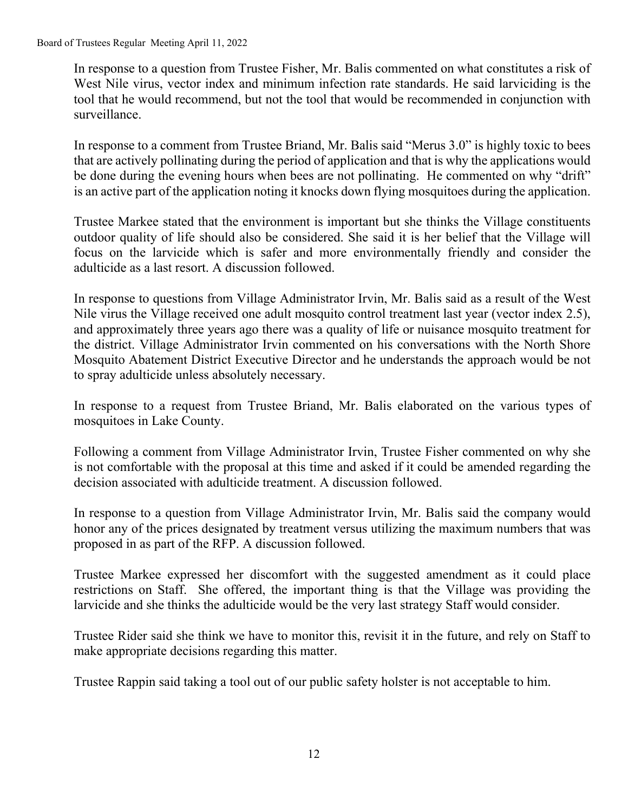In response to a question from Trustee Fisher, Mr. Balis commented on what constitutes a risk of West Nile virus, vector index and minimum infection rate standards. He said larviciding is the tool that he would recommend, but not the tool that would be recommended in conjunction with surveillance.

In response to a comment from Trustee Briand, Mr. Balis said "Merus 3.0" is highly toxic to bees that are actively pollinating during the period of application and that is why the applications would be done during the evening hours when bees are not pollinating. He commented on why "drift" is an active part of the application noting it knocks down flying mosquitoes during the application.

Trustee Markee stated that the environment is important but she thinks the Village constituents outdoor quality of life should also be considered. She said it is her belief that the Village will focus on the larvicide which is safer and more environmentally friendly and consider the adulticide as a last resort. A discussion followed.

In response to questions from Village Administrator Irvin, Mr. Balis said as a result of the West Nile virus the Village received one adult mosquito control treatment last year (vector index 2.5), and approximately three years ago there was a quality of life or nuisance mosquito treatment for the district. Village Administrator Irvin commented on his conversations with the North Shore Mosquito Abatement District Executive Director and he understands the approach would be not to spray adulticide unless absolutely necessary.

In response to a request from Trustee Briand, Mr. Balis elaborated on the various types of mosquitoes in Lake County.

Following a comment from Village Administrator Irvin, Trustee Fisher commented on why she is not comfortable with the proposal at this time and asked if it could be amended regarding the decision associated with adulticide treatment. A discussion followed.

In response to a question from Village Administrator Irvin, Mr. Balis said the company would honor any of the prices designated by treatment versus utilizing the maximum numbers that was proposed in as part of the RFP. A discussion followed.

Trustee Markee expressed her discomfort with the suggested amendment as it could place restrictions on Staff. She offered, the important thing is that the Village was providing the larvicide and she thinks the adulticide would be the very last strategy Staff would consider.

Trustee Rider said she think we have to monitor this, revisit it in the future, and rely on Staff to make appropriate decisions regarding this matter.

Trustee Rappin said taking a tool out of our public safety holster is not acceptable to him.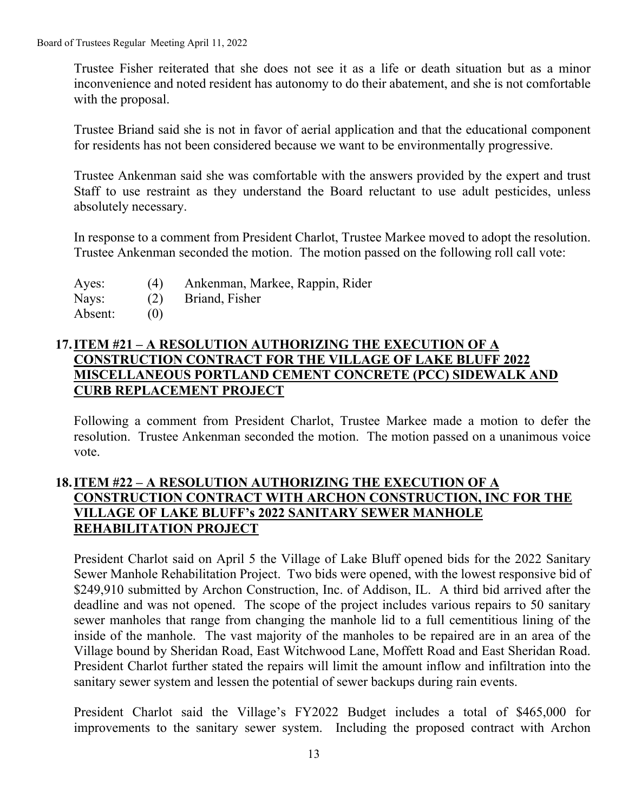Board of Trustees Regular Meeting April 11, 2022

Trustee Fisher reiterated that she does not see it as a life or death situation but as a minor inconvenience and noted resident has autonomy to do their abatement, and she is not comfortable with the proposal.

Trustee Briand said she is not in favor of aerial application and that the educational component for residents has not been considered because we want to be environmentally progressive.

Trustee Ankenman said she was comfortable with the answers provided by the expert and trust Staff to use restraint as they understand the Board reluctant to use adult pesticides, unless absolutely necessary.

In response to a comment from President Charlot, Trustee Markee moved to adopt the resolution. Trustee Ankenman seconded the motion. The motion passed on the following roll call vote:

- Ayes: (4) Ankenman, Markee, Rappin, Rider
- Nays: (2) Briand, Fisher

Absent: (0)

### **17.ITEM #21 – A RESOLUTION AUTHORIZING THE EXECUTION OF A CONSTRUCTION CONTRACT FOR THE VILLAGE OF LAKE BLUFF 2022 MISCELLANEOUS PORTLAND CEMENT CONCRETE (PCC) SIDEWALK AND CURB REPLACEMENT PROJECT**

Following a comment from President Charlot, Trustee Markee made a motion to defer the resolution. Trustee Ankenman seconded the motion. The motion passed on a unanimous voice vote.

## **18.ITEM #22 – A RESOLUTION AUTHORIZING THE EXECUTION OF A CONSTRUCTION CONTRACT WITH ARCHON CONSTRUCTION, INC FOR THE VILLAGE OF LAKE BLUFF's 2022 SANITARY SEWER MANHOLE REHABILITATION PROJECT**

President Charlot said on April 5 the Village of Lake Bluff opened bids for the 2022 Sanitary Sewer Manhole Rehabilitation Project. Two bids were opened, with the lowest responsive bid of \$249,910 submitted by Archon Construction, Inc. of Addison, IL. A third bid arrived after the deadline and was not opened. The scope of the project includes various repairs to 50 sanitary sewer manholes that range from changing the manhole lid to a full cementitious lining of the inside of the manhole. The vast majority of the manholes to be repaired are in an area of the Village bound by Sheridan Road, East Witchwood Lane, Moffett Road and East Sheridan Road. President Charlot further stated the repairs will limit the amount inflow and infiltration into the sanitary sewer system and lessen the potential of sewer backups during rain events.

President Charlot said the Village's FY2022 Budget includes a total of \$465,000 for improvements to the sanitary sewer system. Including the proposed contract with Archon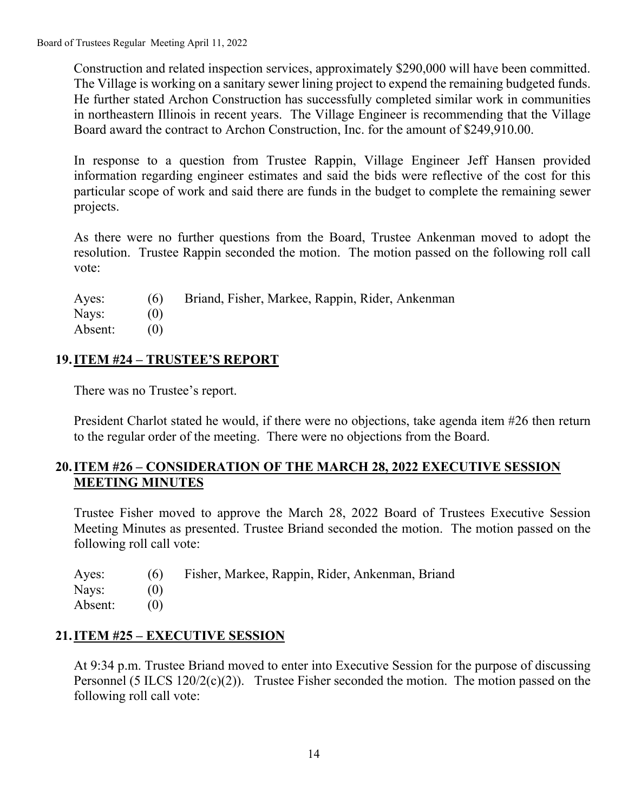Construction and related inspection services, approximately \$290,000 will have been committed. The Village is working on a sanitary sewer lining project to expend the remaining budgeted funds. He further stated Archon Construction has successfully completed similar work in communities in northeastern Illinois in recent years. The Village Engineer is recommending that the Village Board award the contract to Archon Construction, Inc. for the amount of \$249,910.00.

In response to a question from Trustee Rappin, Village Engineer Jeff Hansen provided information regarding engineer estimates and said the bids were reflective of the cost for this particular scope of work and said there are funds in the budget to complete the remaining sewer projects.

As there were no further questions from the Board, Trustee Ankenman moved to adopt the resolution. Trustee Rappin seconded the motion. The motion passed on the following roll call vote:

| Ayes:   | (6) | Briand, Fisher, Markee, Rappin, Rider, Ankenman |
|---------|-----|-------------------------------------------------|
| Nays:   | (0) |                                                 |
| Absent: | (0) |                                                 |

# **19.ITEM #24 – TRUSTEE'S REPORT**

There was no Trustee's report.

President Charlot stated he would, if there were no objections, take agenda item #26 then return to the regular order of the meeting. There were no objections from the Board.

## **20.ITEM #26 – CONSIDERATION OF THE MARCH 28, 2022 EXECUTIVE SESSION MEETING MINUTES**

Trustee Fisher moved to approve the March 28, 2022 Board of Trustees Executive Session Meeting Minutes as presented. Trustee Briand seconded the motion. The motion passed on the following roll call vote:

| Ayes:   |     | (6) Fisher, Markee, Rappin, Rider, Ankenman, Briand |
|---------|-----|-----------------------------------------------------|
| Nays:   | (0) |                                                     |
| Absent: | (0) |                                                     |

# **21.ITEM #25 – EXECUTIVE SESSION**

At 9:34 p.m. Trustee Briand moved to enter into Executive Session for the purpose of discussing Personnel (5 ILCS 120/2(c)(2)). Trustee Fisher seconded the motion. The motion passed on the following roll call vote: